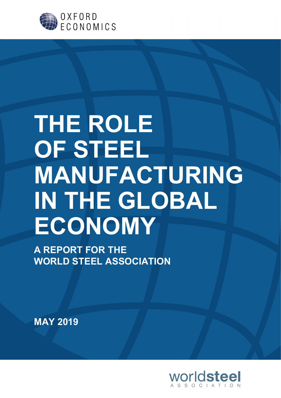

# THE ROLE OF STEEL MANUFACTURING IN THE GLOBAL **ECONOMY**

A REPORT FOR THE WORLD STEEL ASSOCIATION

MAY 2019

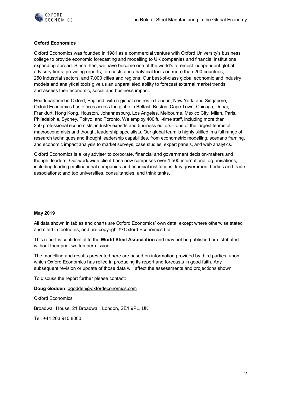

#### Oxford Economics

Oxford Economics was founded in 1981 as a commercial venture with Oxford University's business college to provide economic forecasting and modelling to UK companies and financial institutions expanding abroad. Since then, we have become one of the world's foremost independent global advisory firms, providing reports, forecasts and analytical tools on more than 200 countries, 250 industrial sectors, and 7,000 cities and regions. Our best-of-class global economic and industry models and analytical tools give us an unparalleled ability to forecast external market trends and assess their economic, social and business impact.

Headquartered in Oxford, England, with regional centres in London, New York, and Singapore, Oxford Economics has offices across the globe in Belfast, Boston, Cape Town, Chicago, Dubai, Frankfurt, Hong Kong, Houston, Johannesburg, Los Angeles, Melbourne, Mexico City, Milan, Paris, Philadelphia, Sydney, Tokyo, and Toronto. We employ 400 full-time staff, including more than 250 professional economists, industry experts and business editors—one of the largest teams of macroeconomists and thought leadership specialists. Our global team is highly skilled in a full range of research techniques and thought leadership capabilities, from econometric modelling, scenario framing, and economic impact analysis to market surveys, case studies, expert panels, and web analytics.

Oxford Economics is a key adviser to corporate, financial and government decision-makers and thought leaders. Our worldwide client base now comprises over 1,500 international organisations, including leading multinational companies and financial institutions; key government bodies and trade associations; and top universities, consultancies, and think tanks.

#### May 2019

All data shown in tables and charts are Oxford Economics' own data, except where otherwise stated and cited in footnotes, and are copyright © Oxford Economics Ltd.

This report is confidential to the World Steel Association and may not be published or distributed without their prior written permission.

The modelling and results presented here are based on information provided by third parties, upon which Oxford Economics has relied in producing its report and forecasts in good faith. Any subsequent revision or update of those data will affect the assessments and projections shown.

To discuss the report further please contact:

Doug Godden: dgodden@oxfordeconomics.com

Oxford Economics

Broadwall House, 21 Broadwall, London, SE1 9PL, UK

Tel: +44 203 910 8000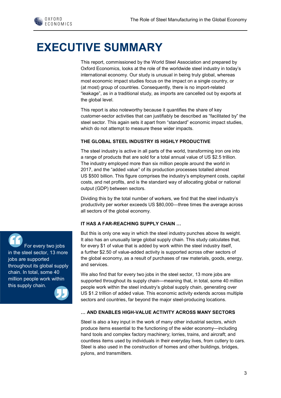

## EXECUTIVE SUMMARY

This report, commissioned by the World Steel Association and prepared by Oxford Economics, looks at the role of the worldwide steel industry in today's international economy. Our study is unusual in being truly global, whereas most economic impact studies focus on the impact on a single country, or (at most) group of countries. Consequently, there is no import-related "leakage", as in a traditional study, as imports are cancelled out by exports at the global level.

This report is also noteworthy because it quantifies the share of key customer-sector activities that can justifiably be described as "facilitated by" the steel sector. This again sets it apart from "standard" economic impact studies, which do not attempt to measure these wider impacts.

#### THE GLOBAL STEEL INDUSTRY IS HIGHLY PRODUCTIVE

The steel industry is active in all parts of the world, transforming iron ore into a range of products that are sold for a total annual value of US \$2.5 trillion. The industry employed more than six million people around the world in 2017, and the "added value" of its production processes totalled almost US \$500 billion. This figure comprises the industry's employment costs, capital costs, and net profits, and is the standard way of allocating global or national output (GDP) between sectors.

Dividing this by the total number of workers, we find that the steel industry's productivity per worker exceeds US \$80,000—three times the average across all sectors of the global economy.

#### IT HAS A FAR-REACHING SUPPLY CHAIN …

But this is only one way in which the steel industry punches above its weight. It also has an unusually large global supply chain. This study calculates that, for every \$1 of value that is added by work within the steel industry itself, a further \$2.50 of value-added activity is supported across other sectors of the global economy, as a result of purchases of raw materials, goods, energy, and services.

We also find that for every two jobs in the steel sector, 13 more jobs are supported throughout its supply chain—meaning that, in total, some 40 million people work within the steel industry's global supply chain, generating over US \$1.2 trillion of added value. This economic activity extends across multiple sectors and countries, far beyond the major steel-producing locations.

#### … AND ENABLES HIGH-VALUE ACTIVITY ACROSS MANY SECTORS

Steel is also a key input in the work of many other industrial sectors, which produce items essential to the functioning of the wider economy—including hand tools and complex factory machinery; lorries, trains, and aircraft; and countless items used by individuals in their everyday lives, from cutlery to cars. Steel is also used in the construction of homes and other buildings, bridges, pylons, and transmitters.



in the steel sector, 13 more jobs are supported throughout its global supply chain. In total, some 40 million people work within this supply chain.

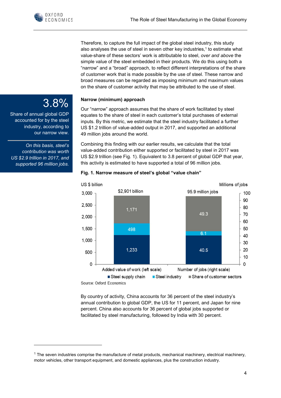Therefore, to capture the full impact of the global steel industry, this study also analyses the use of steel in seven other key industries,<sup>1</sup> to estimate what value-share of these sectors' work is attributable to steel, over and above the simple value of the steel embedded in their products. We do this using both a "narrow" and a "broad" approach, to reflect different interpretations of the share of customer work that is made possible by the use of steel. These narrow and broad measures can be regarded as imposing minimum and maximum values on the share of customer activity that may be attributed to the use of steel.

#### Narrow (minimum) approach

Our "narrow" approach assumes that the share of work facilitated by steel equates to the share of steel in each customer's total purchases of external inputs. By this metric, we estimate that the steel industry facilitated a further US \$1.2 trillion of value-added output in 2017, and supported an additional 49 million jobs around the world.

Combining this finding with our earlier results, we calculate that the total value-added contribution either supported or facilitated by steel in 2017 was US \$2.9 trillion (see Fig. 1). Equivalent to 3.8 percent of global GDP that year, this activity is estimated to have supported a total of 96 million jobs.



#### Fig. 1. Narrow measure of steel's global "value chain"

By country of activity, China accounts for 36 percent of the steel industry's annual contribution to global GDP, the US for 11 percent, and Japan for nine percent. China also accounts for 36 percent of global jobs supported or facilitated by steel manufacturing, followed by India with 30 percent.

### 3.8%

Share of annual global GDP accounted for by the steel industry, according to our narrow view.

On this basis, steel's contribution was worth US \$2.9 trillion in 2017, and supported 96 million jobs.

<sup>&</sup>lt;sup>1</sup> The seven industries comprise the manufacture of metal products, mechanical machinery, electrical machinery, motor vehicles, other transport equipment, and domestic appliances, plus the construction industry.